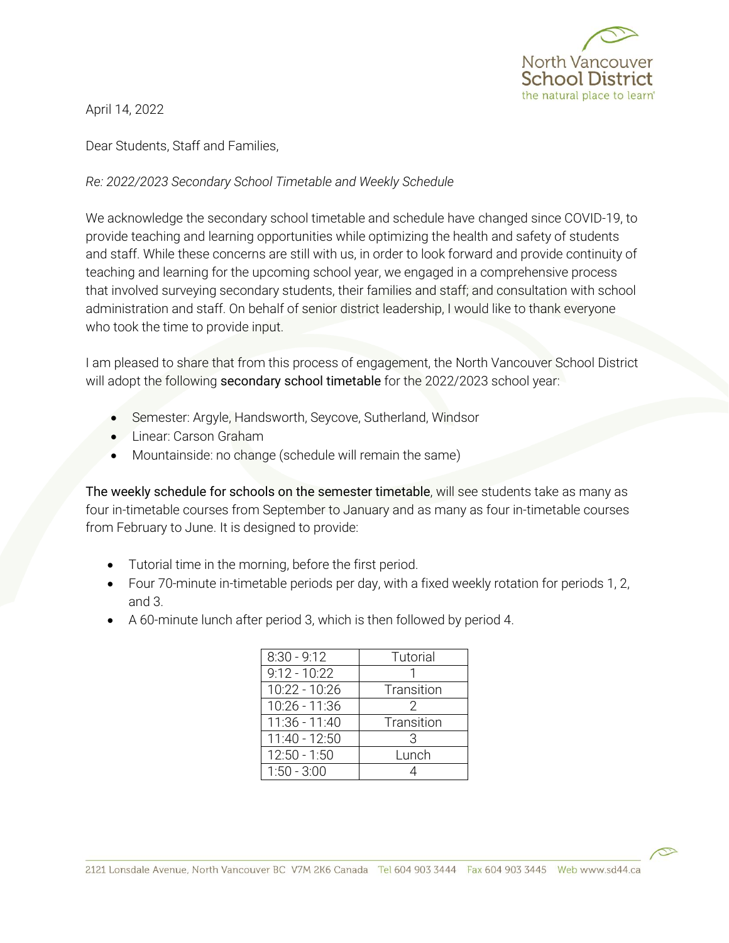

April 14, 2022

Dear Students, Staff and Families,

*Re: 2022/2023 Secondary School Timetable and Weekly Schedule* 

We acknowledge the secondary school timetable and schedule have changed since COVID-19, to provide teaching and learning opportunities while optimizing the health and safety of students and staff. While these concerns are still with us, in order to look forward and provide continuity of teaching and learning for the upcoming school year, we engaged in a comprehensive process that involved surveying secondary students, their families and staff; and consultation with school administration and staff. On behalf of senior district leadership, I would like to thank everyone who took the time to provide input.

I am pleased to share that from this process of engagement, the North Vancouver School District will adopt the following secondary school timetable for the 2022/2023 school year:

- Semester: Argyle, Handsworth, Seycove, Sutherland, Windsor
- **•** Linear: Carson Graham
- Mountainside: no change (schedule will remain the same)

The weekly schedule for schools on the semester timetable, will see students take as many as four in-timetable courses from September to January and as many as four in-timetable courses from February to June. It is designed to provide:

- Tutorial time in the morning, before the first period.
- Four 70-minute in-timetable periods per day, with a fixed weekly rotation for periods 1, 2, and 3.
- A 60-minute lunch after period 3, which is then followed by period 4.

| $8:30 - 9:12$  | Tutorial   |
|----------------|------------|
| $9:12 - 10:22$ |            |
| 10:22 - 10:26  | Transition |
| 10:26 - 11:36  | 2          |
| 11:36 - 11:40  | Transition |
| 11:40 - 12:50  | 3          |
| $12:50 - 1:50$ | Lunch      |
| $1:50 - 3:00$  |            |